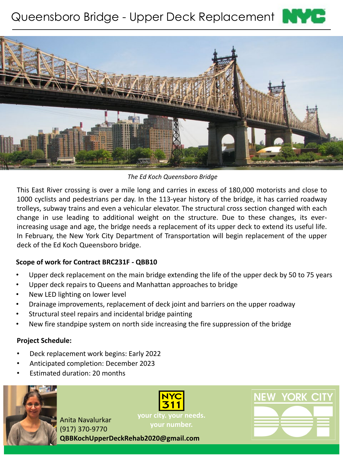# Queensboro Bridge - Upper Deck Replacement





*The Ed Koch Queensboro Bridge*

This East River crossing is over a mile long and carries in excess of 180,000 motorists and close to 1000 cyclists and pedestrians per day. In the 113-year history of the bridge, it has carried roadway trolleys, subway trains and even a vehicular elevator. The structural cross section changed with each change in use leading to additional weight on the structure. Due to these changes, its everincreasing usage and age, the bridge needs a replacement of its upper deck to extend its useful life. In February, the New York City Department of Transportation will begin replacement of the upper deck of the Ed Koch Queensboro bridge.

## **Scope of work for Contract BRC231F - QBB10**

- Upper deck replacement on the main bridge extending the life of the upper deck by 50 to 75 years
- Upper deck repairs to Queens and Manhattan approaches to bridge
- New LED lighting on lower level
- Drainage improvements, replacement of deck joint and barriers on the upper roadway
- Structural steel repairs and incidental bridge painting
- New fire standpipe system on north side increasing the fire suppression of the bridge

#### **Project Schedule:**

- Deck replacement work begins: Early 2022
- Anticipated completion: December 2023
- Estimated duration: 20 months



**your number.** Anita Navalurkar (917) 370-9770 **QBBKochUpperDeckRehab2020@gmail.com**

**your city. your needs.**